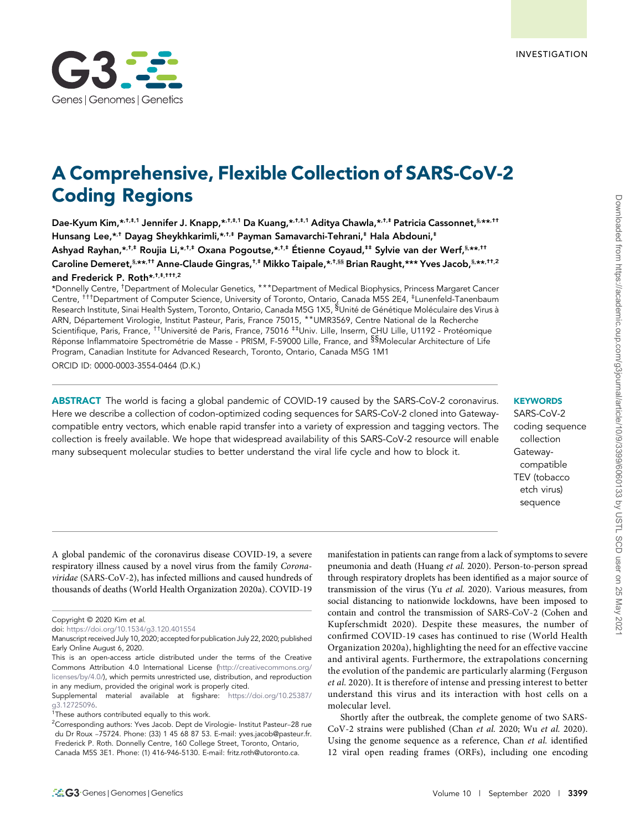

# A Comprehensive, Flexible Collection of SARS-CoV-2 Coding Regions

Dae-Kyum Kim,\*.†.‡.1 Jennifer J. Knapp,\*.†.‡.1 Da Kuang,\*.†.‡.1 Aditya Chawla,\*.†.‡ Patricia Cassonnet,§,\*\*.†† Hunsang Lee,\*,† Dayag Sheykhkarimli,\*,†,‡ Payman Samavarchi-Tehrani,‡ Hala Abdouni,‡ Ashyad Rayhan,\*<sup>,†,‡</sup> Roujia Li,\*<sup>,†,‡</sup> Oxana Pogoutse,\*<sup>,†,‡</sup> Étienne Coyaud,<sup>‡‡</sup> Sylvie van der Werf,<sup>§,</sup>\*\*<sup>,††</sup> Caroline Demeret,§,\*\*,†† Anne-Claude Gingras,†,‡ Mikko Taipale,\*,†,§§ Brian Raught,\*\*\* Yves Jacob,§,\*\*,††,2 and Frederick P. Roth\*,<sup>†,‡,†††,2</sup>

\*Donnelly Centre, †Department of Molecular Genetics, \*\*\*Department of Medical Biophysics, Princess Margaret Cancer Centre, †††Department of Computer Science, University of Toronto, Ontario, Canada M5S 2E4, ‡Lunenfeld-Tanenbaum Research Institute, Sinai Health System, Toronto, Ontario, Canada M5G 1X5, §Unité de Génétique Moléculaire des Virus à ARN, Département Virologie, Institut Pasteur, Paris, France 75015, \*\*UMR3569, Centre National de la Recherche Scientifique, Paris, France, <sup>††</sup>Université de Paris, France, 75016 <sup>‡‡</sup>Univ. Lille, Inserm, CHU Lille, U1192 - Protéomique Réponse Inflammatoire Spectrométrie de Masse - PRISM, F-59000 Lille, France, and <sup>§§</sup>Molecular Architecture of Life Program, Canadian Institute for Advanced Research, Toronto, Ontario, Canada M5G 1M1 ORCID ID: [0000-0003-3554-0464](http://orcid.org/0000-0003-3554-0464) (D.K.)

ABSTRACT The world is facing a global pandemic of COVID-19 caused by the SARS-CoV-2 coronavirus. Here we describe a collection of codon-optimized coding sequences for SARS-CoV-2 cloned into Gatewaycompatible entry vectors, which enable rapid transfer into a variety of expression and tagging vectors. The collection is freely available. We hope that widespread availability of this SARS-CoV-2 resource will enable

many subsequent molecular studies to better understand the viral life cycle and how to block it.

## **KEYWORDS**

SARS-CoV-2 coding sequence collection Gatewaycompatible TEV (tobacco etch virus) sequence

A global pandemic of the coronavirus disease COVID-19, a severe respiratory illness caused by a novel virus from the family Coronaviridae (SARS-CoV-2), has infected millions and caused hundreds of thousands of deaths (World Health Organization 2020a). COVID-19

manifestation in patients can range from a lack of symptoms to severe pneumonia and death (Huang et al. 2020). Person-to-person spread through respiratory droplets has been identified as a major source of transmission of the virus (Yu et al. 2020). Various measures, from social distancing to nationwide lockdowns, have been imposed to contain and control the transmission of SARS-CoV-2 (Cohen and Kupferschmidt 2020). Despite these measures, the number of confirmed COVID-19 cases has continued to rise (World Health Organization 2020a), highlighting the need for an effective vaccine and antiviral agents. Furthermore, the extrapolations concerning the evolution of the pandemic are particularly alarming (Ferguson et al. 2020). It is therefore of intense and pressing interest to better understand this virus and its interaction with host cells on a molecular level.

Shortly after the outbreak, the complete genome of two SARS-CoV-2 strains were published (Chan et al. 2020; Wu et al. 2020). Using the genome sequence as a reference, Chan et al. identified 12 viral open reading frames (ORFs), including one encoding

Copyright © 2020 Kim et al.

doi: <https://doi.org/10.1534/g3.120.401554>

Manuscript received July 10, 2020; accepted for publication July 22, 2020; published Early Online August 6, 2020.

This is an open-access article distributed under the terms of the Creative Commons Attribution 4.0 International License [\(http://creativecommons.org/](http://creativecommons.org/licenses/by/4.0/) [licenses/by/4.0/](http://creativecommons.org/licenses/by/4.0/)), which permits unrestricted use, distribution, and reproduction in any medium, provided the original work is properly cited.

Supplemental material available at figshare: [https://doi.org/10.25387/](https://doi.org/10.25387/g3.12725096) [g3.12725096.](https://doi.org/10.25387/g3.12725096)

<sup>&</sup>lt;sup>1</sup>These authors contributed equally to this work.

<sup>&</sup>lt;sup>2</sup>Corresponding authors: Yves Jacob. Dept de Virologie- Institut Pasteur-28 rue du Dr Roux –75724. Phone: (33) 1 45 68 87 53. E-mail: [yves.jacob@pasteur.fr](mailto:yves.jacob@pasteur.fr). Frederick P. Roth. Donnelly Centre, 160 College Street, Toronto, Ontario, Canada M5S 3E1. Phone: (1) 416-946-5130. E-mail: [fritz.roth@utoronto.ca.](mailto:fritz.roth@utoronto.ca)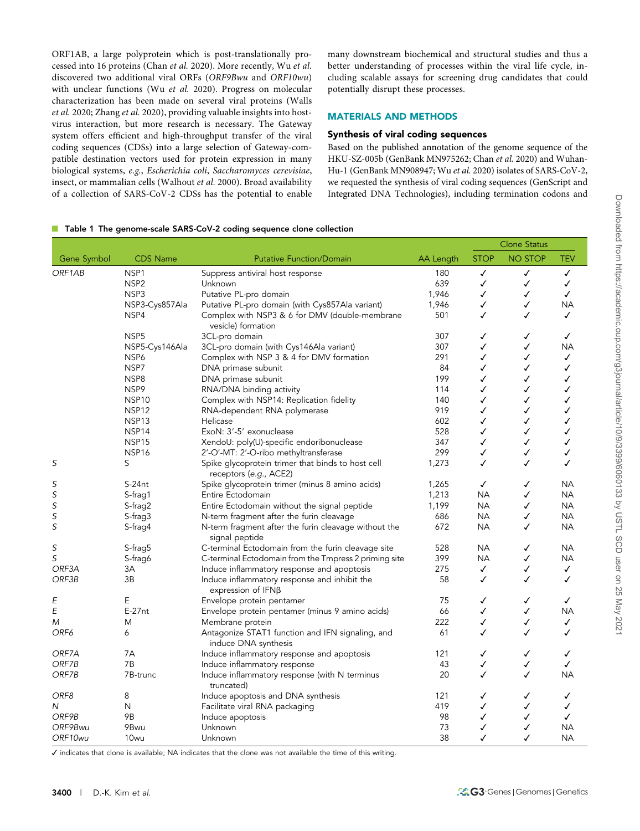ORF1AB, a large polyprotein which is post-translationally processed into 16 proteins (Chan et al. 2020). More recently, Wu et al. discovered two additional viral ORFs (ORF9Bwu and ORF10wu) with unclear functions (Wu et al. 2020). Progress on molecular characterization has been made on several viral proteins (Walls et al. 2020; Zhang et al. 2020), providing valuable insights into hostvirus interaction, but more research is necessary. The Gateway system offers efficient and high-throughput transfer of the viral coding sequences (CDSs) into a large selection of Gateway-compatible destination vectors used for protein expression in many biological systems, e.g., Escherichia coli, Saccharomyces cerevisiae, insect, or mammalian cells (Walhout et al. 2000). Broad availability of a collection of SARS-CoV-2 CDSs has the potential to enable many downstream biochemical and structural studies and thus a better understanding of processes within the viral life cycle, including scalable assays for screening drug candidates that could potentially disrupt these processes.

# MATERIALS AND METHODS

### Synthesis of viral coding sequences

Based on the published annotation of the genome sequence of the HKU-SZ-005b (GenBank MN975262; Chan et al. 2020) and Wuhan-Hu-1 (GenBank MN908947; Wu et al. 2020) isolates of SARS-CoV-2, we requested the synthesis of viral coding sequences (GenScript and Integrated DNA Technologies), including termination codons and

#### ■ Table 1 The genome-scale SARS-CoV-2 coding sequence clone collection

|             |                   |                                                                             |           | <b>Clone Status</b> |                |              |
|-------------|-------------------|-----------------------------------------------------------------------------|-----------|---------------------|----------------|--------------|
| Gene Symbol | <b>CDS Name</b>   | <b>Putative Function/Domain</b>                                             | AA Length | <b>STOP</b>         | <b>NO STOP</b> | TEV          |
| ORF1AB      | NSP1              | Suppress antiviral host response                                            | 180       | ✓                   | $\checkmark$   | $\checkmark$ |
|             | NSP <sub>2</sub>  | Unknown                                                                     | 639       | ✓                   | ✓              | $\checkmark$ |
|             | NSP3              | Putative PL-pro domain                                                      | 1,946     | ✓                   | ✓              | ✓            |
|             | NSP3-Cys857Ala    | Putative PL-pro domain (with Cys857Ala variant)                             | 1,946     | ✓                   | ✓              | NА           |
|             | NSP4              | Complex with NSP3 & 6 for DMV (double-membrane<br>vesicle) formation        | 501       | ✓                   | ✓              | ✓            |
|             | NSP <sub>5</sub>  | 3CL-pro domain                                                              | 307       | ✓                   | ✓              | ✓            |
|             | NSP5-Cys146Ala    | 3CL-pro domain (with Cys146Ala variant)                                     | 307       | ✓                   | ✓              | NΑ           |
|             | NSP6              | Complex with NSP 3 & 4 for DMV formation                                    | 291       | ✓                   | ✓              | ✓            |
|             | NSP7              | DNA primase subunit                                                         | 84        | ✓                   | ✓              | ✓            |
|             | NSP8              | DNA primase subunit                                                         | 199       | ✓                   | ✓              | ✓            |
|             | NSP9              | RNA/DNA binding activity                                                    | 114       | ✓                   | ✓              | ✓            |
|             | NSP <sub>10</sub> | Complex with NSP14: Replication fidelity                                    | 140       | ✓                   | ✓              | ✓            |
|             | NSP <sub>12</sub> | RNA-dependent RNA polymerase                                                | 919       | ✓                   | ✓              | ✓            |
|             | NSP <sub>13</sub> | Helicase                                                                    | 602       | ✓                   | ✓              | ✓            |
|             | NSP <sub>14</sub> | ExoN: 3'-5' exonuclease                                                     | 528       | ✓                   | ✓              | ✓            |
|             | NSP15             | XendoU: poly(U)-specific endoribonuclease                                   | 347       | ✓                   | ✓              | ✓            |
|             | NSP <sub>16</sub> | 2'-O'-MT: 2'-O-ribo methyltransferase                                       | 299       | ✓                   | ✓              | ✓            |
| S           | S                 | Spike glycoprotein trimer that binds to host cell<br>receptors (e.g., ACE2) | 1,273     | ✓                   | ✓              | ✓            |
| S           | $S-24nt$          | Spike glycoprotein trimer (minus 8 amino acids)                             | 1,265     | ✓                   | ✓              | <b>NA</b>    |
| S           | S-frag1           | Entire Ectodomain                                                           | 1,213     | <b>NA</b>           | ✓              | <b>NA</b>    |
| S           | S-frag2           | Entire Ectodomain without the signal peptide                                | 1,199     | <b>NA</b>           | ✓              | <b>NA</b>    |
| S           | $S$ -fraq $3$     | N-term fragment after the furin cleavage                                    | 686       | <b>NA</b>           | ✓              | NA           |
| S           | S-frag4           | N-term fragment after the furin cleavage without the<br>signal peptide      | 672       | <b>NA</b>           | ✓              | NА           |
| S           | S-frag5           | C-terminal Ectodomain from the furin cleavage site                          | 528       | <b>NA</b>           | ✓              | <b>NA</b>    |
| $\mathsf S$ | S-frag6           | C-terminal Ectodomain from the Tmpress 2 priming site                       | 399       | <b>NA</b>           | ✓              | NΑ           |
| ORF3A       | 3A                | Induce inflammatory response and apoptosis                                  | 275       | ✓                   | ✓              | ✓            |
| ORF3B       | 3B                | Induce inflammatory response and inhibit the<br>expression of $IFN\beta$    | 58        | ✓                   | ✓              | ✓            |
| Ε           | E                 | Envelope protein pentamer                                                   | 75        | ✓                   | ✓              | ✓            |
| E           | $E-27nt$          | Envelope protein pentamer (minus 9 amino acids)                             | 66        | ✓                   | ✓              | <b>NA</b>    |
| M           | M                 | Membrane protein                                                            | 222       | ✓                   | ✓              | ✓            |
| ORF6        | 6                 | Antagonize STAT1 function and IFN signaling, and<br>induce DNA synthesis    | 61        | ✓                   | ✓              | ✓            |
| ORF7A       | 7A                | Induce inflammatory response and apoptosis                                  | 121       | ✓                   | $\checkmark$   | ✓            |
| ORF7B       | 7B                | Induce inflammatory response                                                | 43        | ✓                   | ✓              | ✓            |
| ORF7B       | 7B-trunc          | Induce inflammatory response (with N terminus                               | 20        | ✓                   | ✓              | <b>NA</b>    |
|             |                   | truncated)                                                                  |           |                     |                |              |
| ORF8        | 8                 | Induce apoptosis and DNA synthesis                                          | 121       | ✓                   | ✓              | ✓            |
| Ν           | N                 | Facilitate viral RNA packaging                                              | 419       | ✓                   | ✓              | ✓            |
| ORF9B       | 9B                | Induce apoptosis                                                            | 98        | ✓                   | $\checkmark$   | ✓            |
| ORF9Bwu     | 9Bwu              | Unknown                                                                     | 73        | ✓                   | ✓              | <b>NA</b>    |
| ORF10wu     | 10wu              | Unknown                                                                     | 38        | ✓                   | ✓              | <b>NA</b>    |

✓ indicates that clone is available; NA indicates that the clone was not available the time of this writing.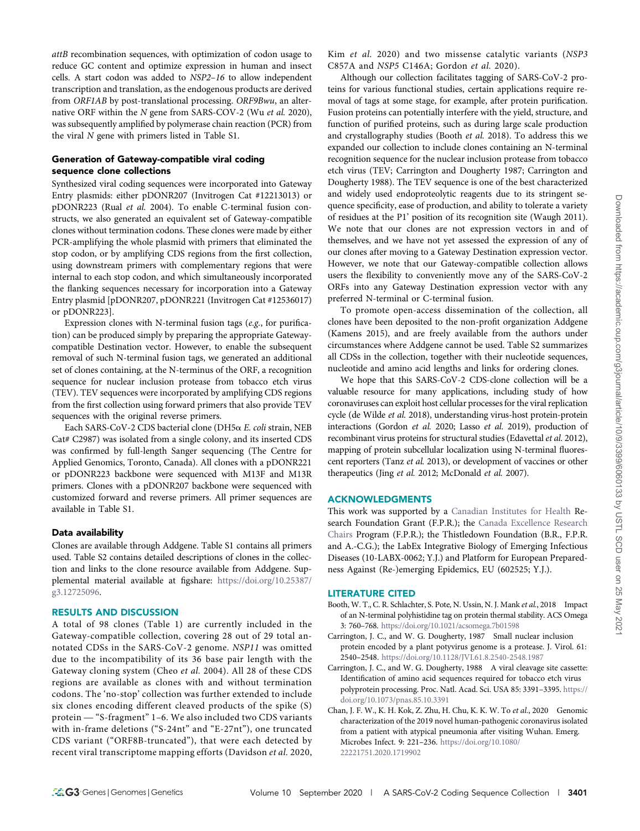attB recombination sequences, with optimization of codon usage to reduce GC content and optimize expression in human and insect cells. A start codon was added to NSP2–16 to allow independent transcription and translation, as the endogenous products are derived from ORF1AB by post-translational processing. ORF9Bwu, an alternative ORF within the N gene from SARS-COV-2 (Wu et al. 2020), was subsequently amplified by polymerase chain reaction (PCR) from the viral N gene with primers listed in Table S1.

## Generation of Gateway-compatible viral coding sequence clone collections

Synthesized viral coding sequences were incorporated into Gateway Entry plasmids: either pDONR207 (Invitrogen Cat #12213013) or pDONR223 (Rual et al. 2004). To enable C-terminal fusion constructs, we also generated an equivalent set of Gateway-compatible clones without termination codons. These clones were made by either PCR-amplifying the whole plasmid with primers that eliminated the stop codon, or by amplifying CDS regions from the first collection, using downstream primers with complementary regions that were internal to each stop codon, and which simultaneously incorporated the flanking sequences necessary for incorporation into a Gateway Entry plasmid [pDONR207, pDONR221 (Invitrogen Cat #12536017) or pDONR223].

Expression clones with N-terminal fusion tags (e.g., for purification) can be produced simply by preparing the appropriate Gatewaycompatible Destination vector. However, to enable the subsequent removal of such N-terminal fusion tags, we generated an additional set of clones containing, at the N-terminus of the ORF, a recognition sequence for nuclear inclusion protease from tobacco etch virus (TEV). TEV sequences were incorporated by amplifying CDS regions from the first collection using forward primers that also provide TEV sequences with the original reverse primers.

Each SARS-CoV-2 CDS bacterial clone (DH5a E. coli strain, NEB Cat# C2987) was isolated from a single colony, and its inserted CDS was confirmed by full-length Sanger sequencing (The Centre for Applied Genomics, Toronto, Canada). All clones with a pDONR221 or pDONR223 backbone were sequenced with M13F and M13R primers. Clones with a pDONR207 backbone were sequenced with customized forward and reverse primers. All primer sequences are available in Table S1.

### Data availability

Clones are available through Addgene. Table S1 contains all primers used. Table S2 contains detailed descriptions of clones in the collection and links to the clone resource available from Addgene. Supplemental material available at figshare: [https://doi.org/10.25387/](https://doi.org/10.25387/g3.12725096) [g3.12725096.](https://doi.org/10.25387/g3.12725096)

## RESULTS AND DISCUSSION

A total of 98 clones (Table 1) are currently included in the Gateway-compatible collection, covering 28 out of 29 total annotated CDSs in the SARS-CoV-2 genome. NSP11 was omitted due to the incompatibility of its 36 base pair length with the Gateway cloning system (Cheo et al. 2004). All 28 of these CDS regions are available as clones with and without termination codons. The 'no-stop' collection was further extended to include six clones encoding different cleaved products of the spike (S) protein — "S-fragment" 1–6. We also included two CDS variants with in-frame deletions ("S-24nt" and "E-27nt"), one truncated CDS variant ("ORF8B-truncated"), that were each detected by recent viral transcriptome mapping efforts (Davidson et al. 2020,

Kim et al. 2020) and two missense catalytic variants (NSP3 C857A and NSP5 C146A; Gordon et al. 2020).

Although our collection facilitates tagging of SARS-CoV-2 proteins for various functional studies, certain applications require removal of tags at some stage, for example, after protein purification. Fusion proteins can potentially interfere with the yield, structure, and function of purified proteins, such as during large scale production and crystallography studies (Booth et al. 2018). To address this we expanded our collection to include clones containing an N-terminal recognition sequence for the nuclear inclusion protease from tobacco etch virus (TEV; Carrington and Dougherty 1987; Carrington and Dougherty 1988). The TEV sequence is one of the best characterized and widely used endoproteolytic reagents due to its stringent sequence specificity, ease of production, and ability to tolerate a variety of residues at the P1' position of its recognition site (Waugh 2011). We note that our clones are not expression vectors in and of themselves, and we have not yet assessed the expression of any of our clones after moving to a Gateway Destination expression vector. However, we note that our Gateway-compatible collection allows users the flexibility to conveniently move any of the SARS-CoV-2 ORFs into any Gateway Destination expression vector with any preferred N-terminal or C-terminal fusion.

To promote open-access dissemination of the collection, all clones have been deposited to the non-profit organization Addgene (Kamens 2015), and are freely available from the authors under circumstances where Addgene cannot be used. Table S2 summarizes all CDSs in the collection, together with their nucleotide sequences, nucleotide and amino acid lengths and links for ordering clones.

We hope that this SARS-CoV-2 CDS-clone collection will be a valuable resource for many applications, including study of how coronaviruses can exploit host cellular processes for the viral replication cycle (de Wilde et al. 2018), understanding virus-host protein-protein interactions (Gordon et al. 2020; Lasso et al. 2019), production of recombinant virus proteins for structural studies (Edavettal et al. 2012), mapping of protein subcellular localization using N-terminal fluorescent reporters (Tanz et al. 2013), or development of vaccines or other therapeutics (Jing et al. 2012; McDonald et al. 2007).

### ACKNOWLEDGMENTS

This work was supported by a [Canadian Institutes for Health](https://doi.org/10.13039/501100000024) Research Foundation Grant (F.P.R.); the [Canada Excellence Research](https://doi.org/10.13039/501100002784) [Chairs](https://doi.org/10.13039/501100002784) Program (F.P.R.); the Thistledown Foundation (B.R., F.P.R. and A.-C.G.); the LabEx Integrative Biology of Emerging Infectious Diseases (10-LABX-0062; Y.J.) and Platform for European Preparedness Against (Re-)emerging Epidemics, EU (602525; Y.J.).

#### LITERATURE CITED

- Booth, W. T., C. R. Schlachter, S. Pote, N. Ussin, N. J. Mank et al., 2018 Impact of an N-terminal polyhistidine tag on protein thermal stability. ACS Omega 3: 760–768. <https://doi.org/10.1021/acsomega.7b01598>
- Carrington, J. C., and W. G. Dougherty, 1987 Small nuclear inclusion protein encoded by a plant potyvirus genome is a protease. J. Virol. 61: 2540–2548. <https://doi.org/10.1128/JVI.61.8.2540-2548.1987>
- Carrington, J. C., and W. G. Dougherty, 1988 A viral cleavage site cassette: Identification of amino acid sequences required for tobacco etch virus polyprotein processing. Proc. Natl. Acad. Sci. USA 85: 3391–3395. [https://](https://doi.org/10.1073/pnas.85.10.3391) [doi.org/10.1073/pnas.85.10.3391](https://doi.org/10.1073/pnas.85.10.3391)
- Chan, J. F. W., K. H. Kok, Z. Zhu, H. Chu, K. K. W. To et al., 2020 Genomic characterization of the 2019 novel human-pathogenic coronavirus isolated from a patient with atypical pneumonia after visiting Wuhan. Emerg. Microbes Infect. 9: 221–236. [https://doi.org/10.1080/](https://doi.org/10.1080/22221751.2020.1719902) [22221751.2020.1719902](https://doi.org/10.1080/22221751.2020.1719902)